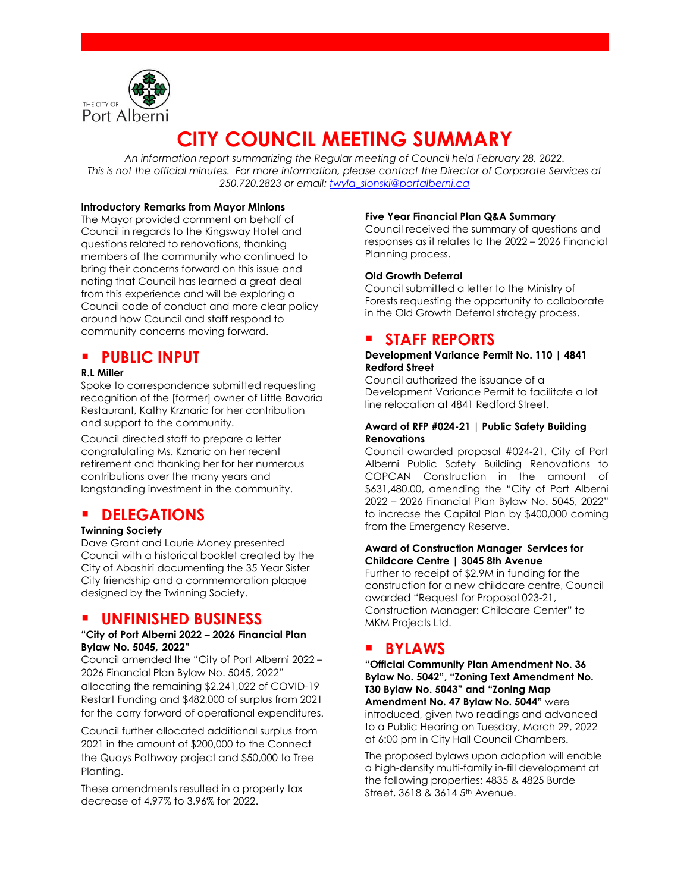

# **CITY COUNCIL MEETING SUMMARY**

*An information report summarizing the Regular meeting of Council held February 28, 2022. This is not the official minutes. For more information, please contact the Director of Corporate Services at 250.720.2823 or email: [twyla\\_slonski@portalberni.ca](mailto:twyla_slonski@portalberni.ca)*

#### **Introductory Remarks from Mayor Minions**

The Mayor provided comment on behalf of Council in regards to the Kingsway Hotel and questions related to renovations, thanking members of the community who continued to bring their concerns forward on this issue and noting that Council has learned a great deal from this experience and will be exploring a Council code of conduct and more clear policy around how Council and staff respond to community concerns moving forward.

## **PUBLIC INPUT**

### **R.L Miller**

Spoke to correspondence submitted requesting recognition of the [former] owner of Little Bavaria Restaurant, Kathy Krznaric for her contribution and support to the community.

Council directed staff to prepare a letter congratulating Ms. Kznaric on her recent retirement and thanking her for her numerous contributions over the many years and longstanding investment in the community.

### **DELEGATIONS**

### **Twinning Society**

Dave Grant and Laurie Money presented Council with a historical booklet created by the City of Abashiri documenting the 35 Year Sister City friendship and a commemoration plaque designed by the Twinning Society.

### **UNFINISHED BUSINESS**

#### **"City of Port Alberni 2022 – 2026 Financial Plan Bylaw No. 5045, 2022"**

Council amended the "City of Port Alberni 2022 – 2026 Financial Plan Bylaw No. 5045, 2022" allocating the remaining \$2,241,022 of COVID-19 Restart Funding and \$482,000 of surplus from 2021 for the carry forward of operational expenditures.

Council further allocated additional surplus from 2021 in the amount of \$200,000 to the Connect the Quays Pathway project and \$50,000 to Tree Planting.

These amendments resulted in a property tax decrease of 4.97% to 3.96% for 2022.

#### **Five Year Financial Plan Q&A Summary**

Council received the summary of questions and responses as it relates to the 2022 – 2026 Financial Planning process.

### **Old Growth Deferral**

Council submitted a letter to the Ministry of Forests requesting the opportunity to collaborate in the Old Growth Deferral strategy process.

### **STAFF REPORTS**

### **Development Variance Permit No. 110 | 4841 Redford Street**

Council authorized the issuance of a Development Variance Permit to facilitate a lot line relocation at 4841 Redford Street.

### **Award of RFP #024-21 | Public Safety Building Renovations**

Council awarded proposal #024-21, City of Port Alberni Public Safety Building Renovations to COPCAN Construction in the amount of \$631,480.00, amending the "City of Port Alberni 2022 – 2026 Financial Plan Bylaw No. 5045, 2022" to increase the Capital Plan by \$400,000 coming from the Emergency Reserve.

#### **Award of Construction Manager Services for Childcare Centre | 3045 8th Avenue**

Further to receipt of \$2.9M in funding for the construction for a new childcare centre, Council awarded "Request for Proposal 023-21, Construction Manager: Childcare Center" to MKM Projects Ltd.

### **BYLAWS**

**"Official Community Plan Amendment No. 36 Bylaw No. 5042", "Zoning Text Amendment No. T30 Bylaw No. 5043" and "Zoning Map Amendment No. 47 Bylaw No. 5044"** were introduced, given two readings and advanced to a Public Hearing on Tuesday, March 29, 2022 at 6:00 pm in City Hall Council Chambers.

The proposed bylaws upon adoption will enable a high-density multi-family in-fill development at the following properties: 4835 & 4825 Burde Street, 3618 & 3614 5<sup>th</sup> Avenue.